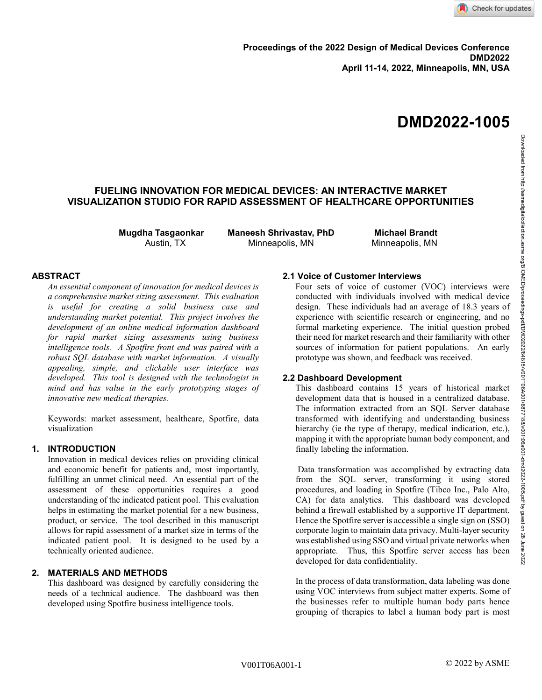# **DMD2022-1005**

# **FUELING INNOVATION FOR MEDICAL DEVICES: AN INTERACTIVE MARKET VISUALIZATION STUDIO FOR RAPID ASSESSMENT OF HEALTHCARE OPPORTUNITIES**

**Mugdha Tasgaonkar** Austin, TX

**Maneesh Shrivastav, PhD** Minneapolis, MN

**Michael Brandt** Minneapolis, MN

# **ABSTRACT**

*An essential component of innovation for medical devices is a comprehensive market sizing assessment. This evaluation is useful for creating a solid business case and understanding market potential. This project involves the development of an online medical information dashboard for rapid market sizing assessments using business intelligence tools. A Spotfire front end was paired with a robust SQL database with market information. A visually appealing, simple, and clickable user interface was developed. This tool is designed with the technologist in mind and has value in the early prototyping stages of innovative new medical therapies.*

Keywords: market assessment, healthcare, Spotfire, data visualization

# **1. INTRODUCTION**

Innovation in medical devices relies on providing clinical and economic benefit for patients and, most importantly, fulfilling an unmet clinical need. An essential part of the assessment of these opportunities requires a good understanding of the indicated patient pool. This evaluation helps in estimating the market potential for a new business, product, or service. The tool described in this manuscript allows for rapid assessment of a market size in terms of the indicated patient pool. It is designed to be used by a technically oriented audience.

# **2. MATERIALS AND METHODS**

This dashboard was designed by carefully considering the needs of a technical audience. The dashboard was then developed using Spotfire business intelligence tools.

#### **2.1 Voice of Customer Interviews**

Four sets of voice of customer (VOC) interviews were conducted with individuals involved with medical device design. These individuals had an average of 18.3 years of experience with scientific research or engineering, and no formal marketing experience. The initial question probed their need for market research and their familiarity with other sources of information for patient populations. An early prototype was shown, and feedback was received.

# **2.2 Dashboard Development**

This dashboard contains 15 years of historical market development data that is housed in a centralized database. The information extracted from an SQL Server database transformed with identifying and understanding business hierarchy (ie the type of therapy, medical indication, etc.), mapping it with the appropriate human body component, and finally labeling the information.

Data transformation was accomplished by extracting data from the SQL server, transforming it using stored procedures, and loading in Spotfire (Tibco Inc., Palo Alto, CA) for data analytics. This dashboard was developed behind a firewall established by a supportive IT department. Hence the Spotfire server is accessible a single sign on (SSO) corporate login to maintain data privacy. Multi-layer security was established using SSO and virtual private networks when appropriate. Thus, this Spotfire server access has been developed for data confidentiality.

In the process of data transformation, data labeling was done using VOC interviews from subject matter experts. Some of the businesses refer to multiple human body parts hence grouping of therapies to label a human body part is most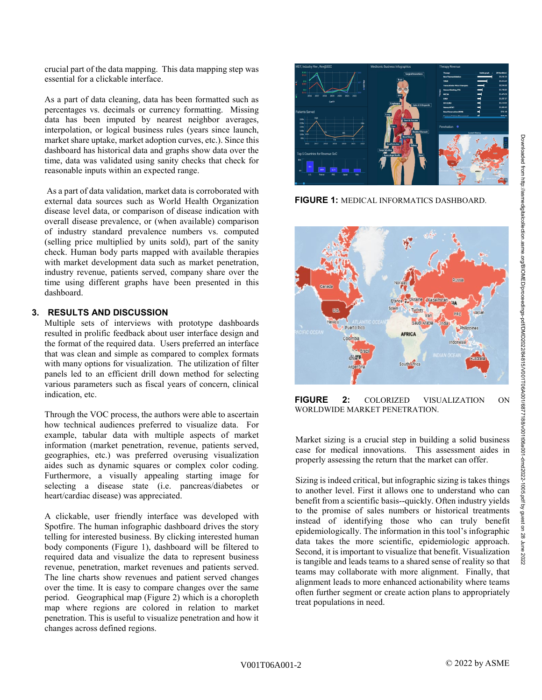crucial part of the data mapping. This data mapping step was essential for a clickable interface.

As a part of data cleaning, data has been formatted such as percentages vs. decimals or currency formatting. Missing data has been imputed by nearest neighbor averages, interpolation, or logical business rules (years since launch, market share uptake, market adoption curves, etc.). Since this dashboard has historical data and graphs show data over the time, data was validated using sanity checks that check for reasonable inputs within an expected range.

As a part of data validation, market data is corroborated with external data sources such as World Health Organization disease level data, or comparison of disease indication with overall disease prevalence, or (when available) comparison of industry standard prevalence numbers vs. computed (selling price multiplied by units sold), part of the sanity check. Human body parts mapped with available therapies with market development data such as market penetration, industry revenue, patients served, company share over the time using different graphs have been presented in this dashboard.

# **3. RESULTS AND DISCUSSION**

Multiple sets of interviews with prototype dashboards resulted in prolific feedback about user interface design and the format of the required data. Users preferred an interface that was clean and simple as compared to complex formats with many options for visualization. The utilization of filter panels led to an efficient drill down method for selecting various parameters such as fiscal years of concern, clinical indication, etc.

Through the VOC process, the authors were able to ascertain how technical audiences preferred to visualize data. For example, tabular data with multiple aspects of market information (market penetration, revenue, patients served, geographies, etc.) was preferred overusing visualization aides such as dynamic squares or complex color coding. Furthermore, a visually appealing starting image for selecting a disease state (i.e. pancreas/diabetes or heart/cardiac disease) was appreciated.

A clickable, user friendly interface was developed with Spotfire. The human infographic dashboard drives the story telling for interested business. By clicking interested human body components (Figure 1), dashboard will be filtered to required data and visualize the data to represent business revenue, penetration, market revenues and patients served. The line charts show revenues and patient served changes over the time. It is easy to compare changes over the same period. Geographical map (Figure 2) which is a choropleth map where regions are colored in relation to market penetration. This is useful to visualize penetration and how it changes across defined regions.



**FIGURE 1:** MEDICAL INFORMATICS DASHBOARD.



**FIGURE 2:** COLORIZED VISUALIZATION ON WORLDWIDE MARKET PENETRATION.

Market sizing is a crucial step in building a solid business case for medical innovations. This assessment aides in properly assessing the return that the market can offer.

Sizing is indeed critical, but infographic sizing is takes things to another level. First it allows one to understand who can benefit from a scientific basis--quickly. Often industry yields to the promise of sales numbers or historical treatments instead of identifying those who can truly benefit epidemiologically. The information in this tool's infographic data takes the more scientific, epidemiologic approach. Second, it is important to visualize that benefit. Visualization is tangible and leads teams to a shared sense of reality so that teams may collaborate with more alignment. Finally, that alignment leads to more enhanced actionability where teams often further segment or create action plans to appropriately treat populations in need.